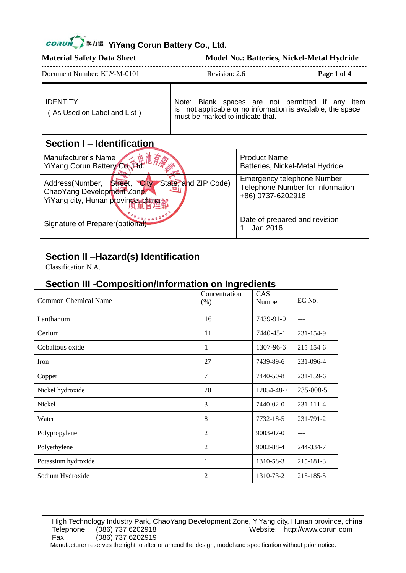# **CORUN** 利油 YiYang Corun Battery Co., Ltd.

| <b>Material Safety Data Sheet</b>              |                                                                                                                                                     | <b>Model No.: Batteries, Nickel-Metal Hydride</b> |  |  |
|------------------------------------------------|-----------------------------------------------------------------------------------------------------------------------------------------------------|---------------------------------------------------|--|--|
| Document Number: KLY-M-0101                    | Revision: 2.6                                                                                                                                       | Page 1 of 4                                       |  |  |
| <b>IDENTITY</b><br>(As Used on Label and List) | Note: Blank spaces are not permitted if any item<br>is not applicable or no information is available, the space<br>must be marked to indicate that. |                                                   |  |  |

# **Section I – Identification**

| Manufacturer's Name<br>YiYang Corun Battery Co., Ltd.                                                                      | <b>Product Name</b><br>Batteries, Nickel-Metal Hydride                                     |
|----------------------------------------------------------------------------------------------------------------------------|--------------------------------------------------------------------------------------------|
| Street, City State, and ZIP Code)<br>Address(Number,<br>ChaoYang Development Zone,<br>YiYang city, Hunan province ching on | <b>Emergency telephone Number</b><br>Telephone Number for information<br>+86) 0737-6202918 |
| Signature of Preparer(optional)                                                                                            | Date of prepared and revision<br>Jan 2016                                                  |

## **Section II –Hazard(s) Identification**

Classification N.A.

#### **Section III -Composition/Information on Ingredients**

| <b>Common Chemical Name</b> | Concentration<br>$(\% )$ | CAS<br>Number | EC No.    |
|-----------------------------|--------------------------|---------------|-----------|
| Lanthanum                   | 16                       | 7439-91-0     | ---       |
| Cerium                      | 11                       | 7440-45-1     | 231-154-9 |
| Cobaltous oxide             | 1                        | 1307-96-6     | 215-154-6 |
| Iron                        | 27                       | 7439-89-6     | 231-096-4 |
| Copper                      | 7                        | 7440-50-8     | 231-159-6 |
| Nickel hydroxide            | 20                       | 12054-48-7    | 235-008-5 |
| <b>Nickel</b>               | 3                        | 7440-02-0     | 231-111-4 |
| Water                       | 8                        | 7732-18-5     | 231-791-2 |
| Polypropylene               | 2                        | 9003-07-0     |           |
| Polyethylene                | $\overline{2}$           | 9002-88-4     | 244-334-7 |
| Potassium hydroxide         | 1                        | 1310-58-3     | 215-181-3 |
| Sodium Hydroxide            | 2                        | 1310-73-2     | 215-185-5 |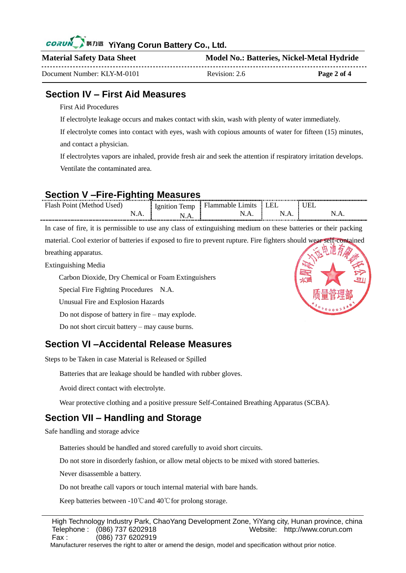| CORUN N TH YiYang Corun Battery Co., Ltd. |
|-------------------------------------------|
|                                           |

| <b>Material Safety Data Sheet</b> | <b>Model No.: Batteries, Nickel-Metal Hydride</b> |             |
|-----------------------------------|---------------------------------------------------|-------------|
| Document Number: KLY-M-0101       | Revision: 2.6                                     | Page 2 of 4 |

#### **Section IV – First Aid Measures**

First Aid Procedures

If electrolyte leakage occurs and makes contact with skin, wash with plenty of water immediately.

If electrolyte comes into contact with eyes, wash with copious amounts of water for fifteen (15) minutes, and contact a physician.

If electrolytes vapors are inhaled, provide fresh air and seek the attention if respiratory irritation develops. Ventilate the contaminated area.

## **Section V –Fire-Fighting Measures**

In case of fire, it is permissible to use any class of extinguishing medium on these batteries or their packing

material. Cool exterior of batteries if exposed to fire to prevent rupture. Fire fighters should wear self-contained

breathing apparatus.

Extinguishing Media

Carbon Dioxide, Dry Chemical or Foam Extinguishers

Special Fire Fighting Procedures N.A.

Unusual Fire and Explosion Hazards

Do not dispose of battery in fire – may explode.

Do not short circuit battery – may cause burns.

#### **Section VI –Accidental Release Measures**

Steps to be Taken in case Material is Released or Spilled

Batteries that are leakage should be handled with rubber gloves.

Avoid direct contact with electrolyte.

Wear protective clothing and a positive pressure Self-Contained Breathing Apparatus (SCBA).

### **Section VII – Handling and Storage**

Safe handling and storage advice

Batteries should be handled and stored carefully to avoid short circuits.

Do not store in disorderly fashion, or allow metal objects to be mixed with stored batteries.

Never disassemble a battery.

Do not breathe call vapors or touch internal material with bare hands.

Keep batteries between -10℃and 40℃for prolong storage.

Manufacturer reserves the right to alter or amend the design, model and specification without prior notice.

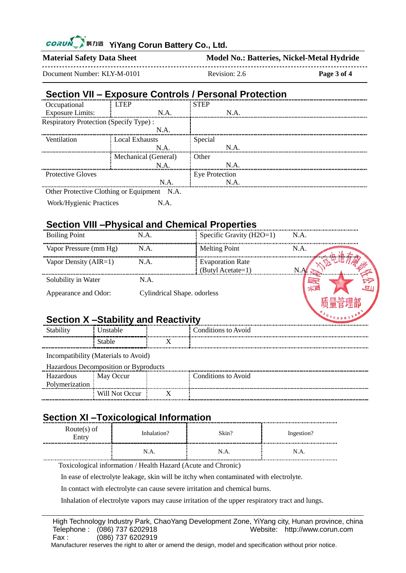#### CORUI **M力运 YiYang Corun Battery Co., Ltd.**

**Material Safety Data Sheet Model No.: Batteries, Nickel-Metal Hydride Model No.: Batteries** \_\_\_\_\_\_\_\_\_\_\_\_\_\_\_\_\_\_\_\_\_\_\_\_\_\_\_\_\_\_\_\_\_\_\_ Document Number: KLY-M-0101 Revision: 2.6 **Page 3 of 4**

# **Section VII – Exposure Controls / Personal Protection**

| Occupational                           | I TEP                 | <b>STEP</b>    |
|----------------------------------------|-----------------------|----------------|
| <b>Exposure Limits:</b>                | N A                   | NА             |
| Respiratory Protection (Specify Type): |                       |                |
|                                        | NА                    |                |
| Ventilation                            | <b>Local Exhausts</b> | Special        |
|                                        |                       | NΑ             |
|                                        | Mechanical (General)  | Other          |
|                                        |                       |                |
| <b>Protective Gloves</b>               |                       | Eye Protection |
|                                        | NΑ                    |                |
| Other Protective Clothing or Equipment | N.A.                  |                |

Work/Hygienic Practices N.A.

#### **Section VIII –Physical and Chemical Properties**

| <b>Boiling Point</b>   | N.A.                        | Specific Gravity (H2O=1)                     | N.A. |
|------------------------|-----------------------------|----------------------------------------------|------|
| Vapor Pressure (mm Hg) | N.A.                        | <b>Melting Point</b>                         | N.A. |
| Vapor Density (AIR=1)  | N.A.                        | <b>Evaporation Rate</b><br>(Butyl Acetate=1) |      |
| Solubility in Water    | N.A.                        |                                              |      |
| Appearance and Odor:   | Cylindrical Shape. odorless |                                              |      |

# **Section X –Stability and Reactivity**

09000032

Incompatibility (Materials to Avoid)

#### Hazardous Decomposition or Byproducts

|                | <u>TREMONS Decomposition of Dybrograph</u> |                     |
|----------------|--------------------------------------------|---------------------|
| Hazardous      | : May Occur                                | Conditions to Avoid |
| Polymerization |                                            |                     |
|                | Will Not Occur                             |                     |

# **Section XI –Toxicological Information**

| <br>Route $(s)$ of<br>Entry | Inhalation?<br>----------- | Skin?   | Ingestion? |
|-----------------------------|----------------------------|---------|------------|
|                             | N.A                        | N<br>.А | N.A.       |

Toxicological information / Health Hazard (Acute and Chronic)

In ease of electrolyte leakage, skin will be itchy when contaminated with electrolyte.

In contact with electrolyte can cause severe irritation and chemical burns.

Inhalation of electrolyte vapors may cause irritation of the upper respiratory tract and lungs.

High Technology Industry Park, ChaoYang Development Zone, YiYang city, Hunan province, china Telephone : (086) 737 6202918 Website: http://www.corun.com Fax : (086) 737 6202919

Manufacturer reserves the right to alter or amend the design, model and specification without prior notice.